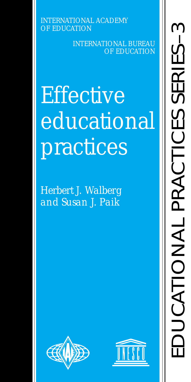INTERNATIONAL ACADEMY OF EDUCATION

> INTERNATIONAL BUREAU OF EDUCATION

# **Effective** educational practices

*Herbert J. Walberg and Susan J. Paik*



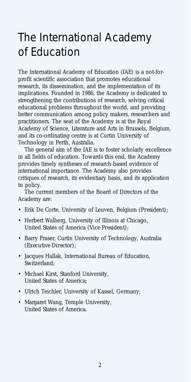### The International Academy of Education

The International Academy of Education (IAE) is a not-forprofit scientific association that promotes educational research, its dissemination, and the implementation of its implications. Founded in 1986, the Academy is dedicated to strengthening the contributions of research, solving critical educational problems throughout the world, and providing better communication among policy makers, researchers and practitioners. The seat of the Academy is at the Royal Academy of Science, Literature and Arts in Brussels, Belgium, and its co-ordinating centre is at Curtin University of Technology in Perth, Australia.

The general aim of the IAE is to foster scholarly excellence in all fields of education. Towards this end, the Academy provides timely syntheses of research-based evidence of international importance. The Academy also provides critiques of research, its evidentiary basis, and its application to policy.

The current members of the Board of Directors of the Academy are:

- Erik De Corte, University of Leuven, Belgium *(President)*;
- Herbert Walberg, University of Illinois at Chicago, United States of America *(Vice President)*;
- Barry Fraser, Curtin University of Technology, Australia *(Executive Director)*;
- Jacques Hallak, International Bureau of Education, Switzerland;
- Michael Kirst, Stanford University, United States of America;
- Ulrich Teichler, University of Kassel, Germany;
- Margaret Wang, Temple University, United States of America.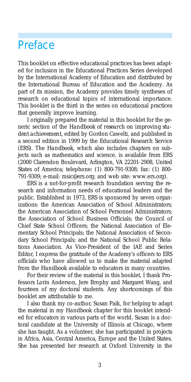### Preface

This booklet on effective educational practices has been adapted for inclusion in the Educational Practices Series developed by the International Academy of Education and distributed by the International Bureau of Education and the Academy. As part of its mission, the Academy provides timely syntheses of research on educational topics of international importance. This booklet is the third in the series on educational practices that generally improve learning.

I originally prepared the material in this booklet for the generic section of the *Handbook of research on improving student achievement*, edited by Gordon Cawelti, and published in a second edition in 1999 by the Educational Research Service (ERS). The *Handbook*, which also includes chapters on subjects such as mathematics and science, is available from ERS (2000 Clarendon Boulevard, Arlington, VA 22201-2908, United States of America; telephone: (1) 800-791-9308; fax: (1) 800- 791-9309; e-mail: msic@ers.org; and web site: www.ers.org).

ERS is a not-for-profit research foundation serving the research and information needs of educational leaders and the public. Established in 1973, ERS is sponsored by seven organizations: the American Association of School Administrators; the American Association of School Personnel Administrators; the Association of School Business Officials; the Council of Chief State School Officers; the National Association of Elementary School Principals; the National Association of Secondary School Principals; and the National School Public Relations Association. As Vice-President of the IAE and Series Editor, I express the gratitude of the Academy's officers to ERS officials who have allowed us to make the material adapted from the *Handbook* available to educators in many countries.

For their review of the material in this booklet, I thank Professors Lorin Anderson, Jere Brophy and Margaret Wang, and fourteen of my doctoral students. Any shortcomings of this booklet are attributable to me.

I also thank my co-author, Susan Paik, for helping to adapt the material in my *Handbook* chapter for this booklet intended for educators in various parts of the world. Susan is a doctoral candidate at the University of Illinois at Chicago, where she has taught. As a volunteer, she has participated in projects in Africa, Asia, Central America, Europe and the United States. She has presented her research at Oxford University in the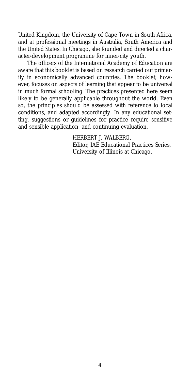United Kingdom, the University of Cape Town in South Africa, and at professional meetings in Australia, South America and the United States. In Chicago, she founded and directed a character-development programme for inner-city youth.

The officers of the International Academy of Education are aware that this booklet is based on research carried out primarily in economically advanced countries. The booklet, however, focuses on aspects of learning that appear to be universal in much formal schooling. The practices presented here seem likely to be generally applicable throughout the world. Even so, the principles should be assessed with reference to local conditions, and adapted accordingly. In any educational setting, suggestions or guidelines for practice require sensitive and sensible application, and continuing evaluation.

HERBERT J. WALBERG,

Editor, IAE Educational Practices Series, University of Illinois at Chicago.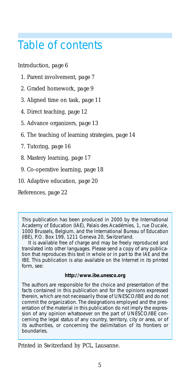### Table of contents

Introduction, *page 6*

- 1. Parent involvement, *page 7*
- 2. Graded homework, *page 9*
- 3. Aligned time on task, *page 11*
- 4. Direct teaching, *page 12*
- 5. Advance organizers, *page 13*
- 6. The teaching of learning strategies, *page 14*
- 7. Tutoring, *page 16*
- 8. Mastery learning, *page 17*
- 9. Co-operative learning, *page 18*
- 10. Adaptive education, *page 20*

References, *page 22*

This publication has been produced in 2000 by the International Academy of Education (IAE), Palais des Académies, 1, rue Ducale, 1000 Brussels, Belgium, and the International Bureau of Education (IBE), P.O. Box 199, 1211 Geneva 20, Switzerland.

It is available free of charge and may be freely reproduced and translated into other languages. Please send a copy of any publication that reproduces this text in whole or in part to the IAE and the IBE. This publication is also available on the Internet in its printed form, see:

#### **http://www.ibe.unesco.org**

The authors are responsible for the choice and presentation of the facts contained in this publication and for the opinions expressed therein, which are not necessarily those of UNESCO/IBE and do not commit the organization. The designations employed and the presentation of the material in this publication do not imply the expression of any opinion whatsoever on the part of UNESCO/IBE concerning the legal status of any country, territory, city or area, or of its authorities, or concerning the delimitation of its frontiers or boundaries.

Printed in Switzerland by PCL, Lausanne.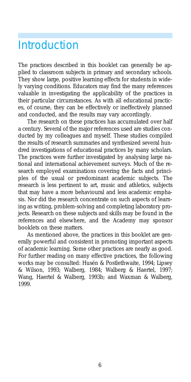### **Introduction**

The practices described in this booklet can generally be applied to classroom subjects in primary and secondary schools. They show large, positive learning effects for students in widely varying conditions. Educators may find the many references valuable in investigating the applicability of the practices in their particular circumstances. As with all educational practices, of course, they can be effectively or ineffectively planned and conducted, and the results may vary accordingly.

The research on these practices has accumulated over half a century. Several of the major references used are studies conducted by my colleagues and myself. These studies compiled the results of research summaries and synthesized several hundred investigations of educational practices by many scholars. The practices were further investigated by analysing large national and international achievement surveys. Much of the research employed examinations covering the facts and principles of the usual or predominant academic subjects. The research is less pertinent to art, music and athletics, subjects that may have a more behavioural and less academic emphasis. Nor did the research concentrate on such aspects of learning as writing, problem-solving and completing laboratory projects. Research on these subjects and skills may be found in the references and elsewhere, and the Academy may sponsor booklets on these matters.

As mentioned above, the practices in this booklet are generally powerful and consistent in promoting important aspects of academic learning. Some other practices are nearly as good. For further reading on many effective practices, the following works may be consulted: Husén & Postlethwaite, 1994; Lipsey & Wilson, 1993; Walberg, 1984; Walberg & Haertel, 1997; Wang, Haertel & Walberg, 1993b; and Waxman & Walberg, 1999.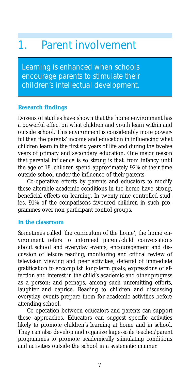### 1. Parent involvement

Learning is enhanced when schools encourage parents to stimulate their children's intellectual development.

#### **Research findings**

Dozens of studies have shown that the home environment has a powerful effect on what children and youth learn within and outside school. This environment is considerably more powerful than the parents' income and education in influencing what children learn in the first six years of life and during the twelve years of primary and secondary education. One major reason that parental influence is so strong is that, from infancy until the age of 18, children spend approximately 92% of their time outside school under the influence of their parents.

Co-operative efforts by parents and educators to modify these alterable academic conditions in the home have strong, beneficial effects on learning. In twenty-nine controlled studies, 91% of the comparisons favoured children in such programmes over non-participant control groups.

#### **In the classroom**

Sometimes called 'the curriculum of the home', the home environment refers to informed parent/child conversations about school and everyday events; encouragement and discussion of leisure reading; monitoring and critical review of television viewing and peer activities; deferral of immediate gratification to accomplish long-term goals; expressions of affection and interest in the child's academic and other progress as a person; and perhaps, among such unremitting efforts, laughter and caprice. Reading to children and discussing everyday events prepare them for academic activities before attending school.

Co-operation between educators and parents can support these approaches. Educators can suggest specific activities likely to promote children's learning at home and in school. They can also develop and organize large-scale teacher/parent programmes to promote academically stimulating conditions and activities outside the school in a systematic manner.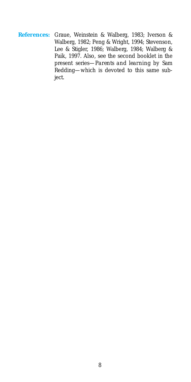**References:** Graue, Weinstein & Walberg, 1983; Iverson & Walberg, 1982; Peng & Wright, 1994; Stevenson, Lee & Stigler, 1986; Walberg, 1984; Walberg & Paik, 1997. Also, see the second booklet in the present series—*Parents and learning* by Sam Redding—which is devoted to this same subject.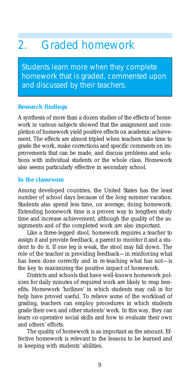### 2. Graded homework

Students learn more when they complete homework that is graded, commented upon and discussed by their teachers.

#### **Research findings**

A synthesis of more than a dozen studies of the effects of homework in various subjects showed that the assignment and completion of homework yield positive effects on academic achievement. The effects are almost tripled when teachers take time to grade the work, make corrections and specific comments on improvements that can be made, and discuss problems and solutions with individual students or the whole class. Homework also seems particularly effective in secondary school.

#### **In the classroom**

Among developed countries, the United States has the least number of school days because of the long summer vacation. Students also spend less time, on average, doing homework. Extending homework time is a proven way to lengthen study time and increase achievement, although the quality of the assignments and of the completed work are also important.

Like a three-legged stool, homework requires a teacher to assign it and provide feedback, a parent to monitor it and a student to do it. If one leg is weak, the stool may fall down. The role of the teacher in providing feedback—in reinforcing what has been done correctly and in re-teaching what has not—is the key to maximizing the positive impact of homework.

Districts and schools that have well-known homework policies for daily minutes of required work are likely to reap benefits. Homework 'hotlines' in which students may call in for help have proved useful. To relieve some of the workload of grading, teachers can employ procedures in which students grade their own and other students' work. In this way, they can learn co-operative social skills and how to evaluate their own and others' efforts.

The quality of homework is as important as the amount. Effective homework is relevant to the lessons to be learned and in keeping with students' abilities.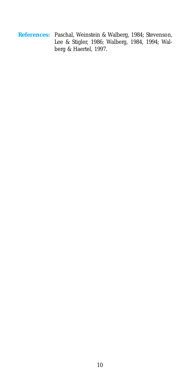**References:** Paschal, Weinstein & Walberg, 1984; Stevenson, Lee & Stigler, 1986; Walberg, 1984, 1994; Walberg & Haertel, 1997.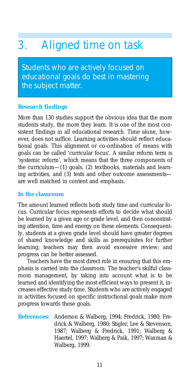## 3. Aligned time on task

Students who are actively focused on educational goals do best in mastering the subject matter.

#### **Research findings**

More than 130 studies support the obvious idea that the more students study, the more they learn. It is one of the most consistent findings in all educational research. Time alone, however, does not suffice. Learning activities should reflect educational goals. This alignment or co-ordination of means with goals can be called 'curricular focus'. A similar reform term is 'systemic reform', which means that the three components of the curriculum—(1) goals, (2) textbooks, materials and learning activities, and (3) tests and other outcome assessments are well matched in content and emphasis.

#### **In the classroom**

The amount learned reflects both study time and curricular focus. Curricular focus represents efforts to decide what should be learned by a given age or grade level, and then concentrating attention, time and energy on these elements. Consequently, students at a given grade level should have greater degrees of shared knowledge and skills as prerequisites for further learning; teachers may then avoid excessive review; and progress can be better assessed.

Teachers have the most direct role in ensuring that this emphasis is carried into the classroom. The teacher's skilful classroom management, by taking into account what is to be learned and identifying the most efficient ways to present it, increases effective study time. Students who are actively engaged in activities focused on specific instructional goals make more progress towards these goals.

**References:** Anderson & Walberg, 1994; Fredrick, 1980; Fredrick & Walberg, 1980; Stigler, Lee & Stevenson, 1987; Walberg & Fredrick, 1991; Walberg & Haertel, 1997; Walberg & Paik, 1997; Waxman & Walberg, 1999.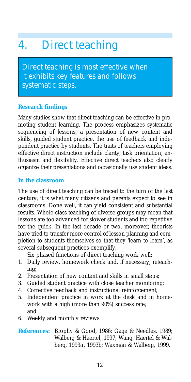## 4. Direct teaching

Direct teaching is most effective when it exhibits key features and follows systematic steps.

#### **Research findings**

Many studies show that direct teaching can be effective in promoting student learning. The process emphasizes systematic sequencing of lessons, a presentation of new content and skills, guided student practice, the use of feedback and independent practice by students. The traits of teachers employing effective direct instruction include clarity, task orientation, enthusiasm and flexibility. Effective direct teachers also clearly organize their presentations and occasionally use student ideas.

#### **In the classroom**

The use of direct teaching can be traced to the turn of the last century; it is what many citizens and parents expect to see in classrooms. Done well, it can yield consistent and substantial results. Whole-class teaching of diverse groups may mean that lessons are too advanced for slower students and too repetitive for the quick. In the last decade or two, moreover, theorists have tried to transfer more control of lesson planning and completion to students themselves so that they 'learn to learn', as several subsequent practices exemplify.

Six phased functions of direct teaching work well:

- 1. Daily review, homework check and, if necessary, reteaching;
- 2. Presentation of new content and skills in small steps;
- 3. Guided student practice with close teacher monitoring;
- 4. Corrective feedback and instructional reinforcement;
- 5. Independent practice in work at the desk and in homework with a high (more than 90%) success rate; and
- 6. Weekly and monthly reviews.

#### **References:** Brophy & Good, 1986; Gage & Needles, 1989; Walberg & Haertel, 1997; Wang, Haertel & Walberg, 1993*a*, 1993*b*; Waxman & Walberg, 1999.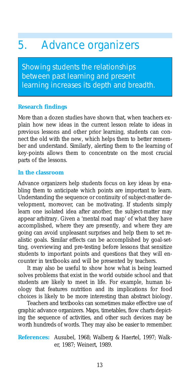### 5. Advance organizers

Showing students the relationships between past learning and present learning increases its depth and breadth.

#### **Research findings**

More than a dozen studies have shown that, when teachers explain how new ideas in the current lesson relate to ideas in previous lessons and other prior learning, students can connect the old with the new, which helps them to better remember and understand. Similarly, alerting them to the learning of key-points allows them to concentrate on the most crucial parts of the lessons.

#### **In the classroom**

Advance organizers help students focus on key ideas by enabling them to anticipate which points are important to learn. Understanding the sequence or continuity of subject-matter development, moreover, can be motivating. If students simply learn one isolated idea after another, the subject-matter may appear arbitrary. Given a 'mental road map' of what they have accomplished, where they are presently, and where they are going can avoid unpleasant surprises and help them to set realistic goals. Similar effects can be accomplished by goal-setting, overviewing and pre-testing before lessons that sensitize students to important points and questions that they will encounter in textbooks and will be presented by teachers.

It may also be useful to show how what is being learned solves problems that exist in the world outside school and that students are likely to meet in life. For example, human biology that features nutrition and its implications for food choices is likely to be more interesting than abstract biology.

Teachers and textbooks can sometimes make effective use of graphic advance organizers. Maps, timetables, flow charts depicting the sequence of activities, and other such devices may be worth hundreds of words. They may also be easier to remember.

**References:** Ausubel, 1968; Walberg & Haertel, 1997; Walker, 1987; Weinert, 1989.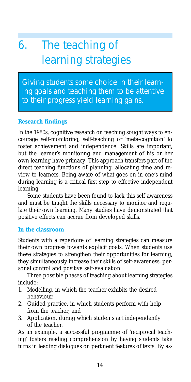# 6. The teaching of learning strategies

Giving students some choice in their learning goals and teaching them to be attentive to their progress yield learning gains.

#### **Research findings**

In the 1980s, cognitive research on teaching sought ways to encourage self-monitoring, self-teaching or 'meta-cognition' to foster achievement and independence. Skills are important, but the learner's monitoring and management of his or her own learning have primacy. This approach transfers part of the direct teaching functions of planning, allocating time and review to learners. Being aware of what goes on in one's mind during learning is a critical first step to effective independent learning.

Some students have been found to lack this self-awareness and must be taught the skills necessary to monitor and regulate their own learning. Many studies have demonstrated that positive effects can accrue from developed skills.

#### **In the classroom**

Students with a repertoire of learning strategies can measure their own progress towards explicit goals. When students use these strategies to strengthen their opportunities for learning, they simultaneously increase their skills of self-awareness, personal control and positive self-evaluation.

Three possible phases of teaching about learning strategies include:

- 1. Modelling, in which the teacher exhibits the desired behaviour;
- 2. Guided practice, in which students perform with help from the teacher; and
- 3. Application, during which students act independently of the teacher.

As an example, a successful programme of 'reciprocal teaching' fosters reading comprehension by having students take turns in leading dialogues on pertinent features of texts. By as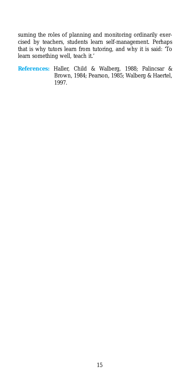suming the roles of planning and monitoring ordinarily exercised by teachers, students learn self-management. Perhaps that is why tutors learn from tutoring, and why it is said: 'To learn something well, teach it.'

**References:** Haller, Child & Walberg, 1988; Palincsar & Brown, 1984; Pearson, 1985; Walberg & Haertel, 1997.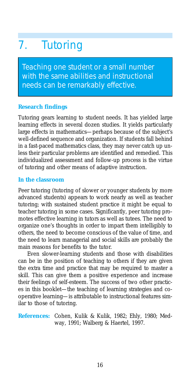# 7. Tutoring

Teaching one student or a small number with the same abilities and instructional needs can be remarkably effective.

#### **Research findings**

Tutoring gears learning to student needs. It has yielded large learning effects in several dozen studies. It yields particularly large effects in mathematics—perhaps because of the subject's well-defined sequence and organization. If students fall behind in a fast-paced mathematics class, they may never catch up unless their particular problems are identified and remedied. This individualized assessment and follow-up process is the virtue of tutoring and other means of adaptive instruction.

#### **In the classroom**

Peer tutoring (tutoring of slower or younger students by more advanced students) appears to work nearly as well as teacher tutoring; with sustained student practice it might be equal to teacher tutoring in some cases. Significantly, peer tutoring promotes effective learning in tutors as well as tutees. The need to organize one's thoughts in order to impart them intelligibly to others, the need to become conscious of the value of time, and the need to learn managerial and social skills are probably the main reasons for benefits to the tutor.

Even slower-learning students and those with disabilities can be in the position of teaching to others if they are given the extra time and practice that may be required to master a skill. This can give them a positive experience and increase their feelings of self-esteem. The success of two other practices in this booklet—the teaching of learning strategies and cooperative learning—is attributable to instructional features similar to those of tutoring.

**References:** Cohen, Kulik & Kulik, 1982; Ehly, 1980; Medway, 1991; Walberg & Haertel, 1997.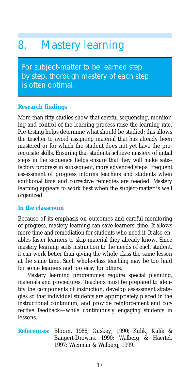### 8. Mastery learning

For subject-matter to be learned step by step, thorough mastery of each step is often optimal.

#### **Research findings**

More than fifty studies show that careful sequencing, monitoring and control of the learning process raise the learning rate. Pre-testing helps determine what should be studied; this allows the teacher to avoid assigning material that has already been mastered or for which the student does not yet have the prerequisite skills. Ensuring that students achieve mastery of initial steps in the sequence helps ensure that they will make satisfactory progress in subsequent, more advanced steps. Frequent assessment of progress informs teachers and students when additional time and corrective remedies are needed. Mastery learning appears to work best when the subject-matter is well organized.

#### **In the classroom**

Because of its emphasis on outcomes and careful monitoring of progress, mastery learning can save learners' time. It allows more time and remediation for students who need it. It also enables faster learners to skip material they already know. Since mastery learning suits instruction to the needs of each student, it can work better than giving the whole class the same lesson at the same time. Such whole-class teaching may be too hard for some learners and too easy for others.

Mastery learning programmes require special planning, materials and procedures. Teachers must be prepared to identify the components of instruction, develop assessment strategies so that individual students are appropriately placed in the instructional continuum, and provide reinforcement and corrective feedback—while continuously engaging students in lessons.

#### **References:** Bloom, 1988; Guskey, 1990; Kulik, Kulik & Bangert-Drowns, 1990; Walberg & Haertel, 1997; Waxman & Walberg, 1999.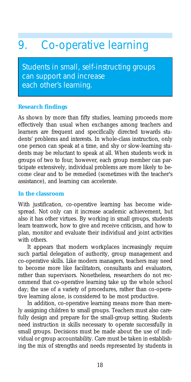### 9. Co-operative learning

Students in small, self-instructing groups can support and increase each other's learning.

#### **Research findings**

As shown by more than fifty studies, learning proceeds more effectively than usual when exchanges among teachers and learners are frequent and specifically directed towards students' problems and interests. In whole-class instruction, only one person can speak at a time, and shy or slow-learning students may be reluctant to speak at all. When students work in groups of two to four, however, each group member can participate extensively, individual problems are more likely to become clear and to be remedied (sometimes with the teacher's assistance), and learning can accelerate.

#### **In the classroom**

With justification, co-operative learning has become widespread. Not only can it increase academic achievement, but also it has other virtues. By working in small groups, students learn teamwork, how to give and receive criticism, and how to plan, monitor and evaluate their individual and joint activities with others.

It appears that modern workplaces increasingly require such partial delegation of authority, group management and co-operative skills. Like modern managers, teachers may need to become more like facilitators, consultants and evaluators, rather than supervisors. Nonetheless, researchers do not recommend that co-operative learning take up the whole school day; the use of a variety of procedures, rather than co-operative learning alone, is considered to be most productive.

In addition, co-operative learning means more than merely assigning children to small groups. Teachers must also carefully design and prepare for the small-group setting. Students need instruction in skills necessary to operate successfully in small groups. Decisions must be made about the use of individual or group accountability. Care must be taken in establishing the mix of strengths and needs represented by students in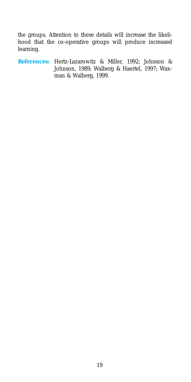the groups. Attention to these details will increase the likelihood that the co-operative groups will produce increased learning.

**References:** Hertz-Lazarowitz & Miller, 1992; Johnson & Johnson, 1989; Walberg & Haertel, 1997; Waxman & Walberg, 1999.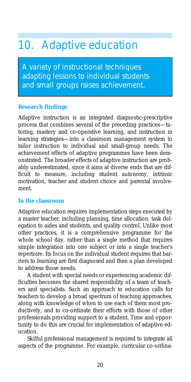### 10. Adaptive education

A variety of instructional techniques adapting lessons to individual students and small groups raises achievement.

#### **Research findings**

Adaptive instruction is an integrated diagnostic-prescriptive process that combines several of the preceding practices—tutoring, mastery and co-operative learning, and instruction in learning strategies—into a classroom management system to tailor instruction to individual and small-group needs. The achievement effects of adaptive programmes have been demonstrated. The broader effects of adaptive instruction are probably underestimated, since it aims at diverse ends that are difficult to measure, including student autonomy, intrinsic motivation, teacher and student choice and parental involvement.

#### **In the classroom**

Adaptive education requires implementation steps executed by a master teacher, including planning, time allocation, task delegation to aides and students, and quality control. Unlike most other practices, it is a comprehensive programme for the whole school day, rather than a single method that requires simple integration into one subject or into a single teacher's repertoire. Its focus on the individual student requires that barriers to learning are first diagnosed and then a plan developed to address those needs.

A student with special needs or experiencing academic difficulties becomes the shared responsibility of a team of teachers and specialists. Such an approach to education calls for teachers to develop a broad spectrum of teaching approaches, along with knowledge of when to use each of them most productively, and to co-ordinate their efforts with those of other professionals providing support to a student. Time and opportunity to do this are crucial for implementation of adaptive education.

Skilful professional management is required to integrate all aspects of the programme. For example, curricular co-ordina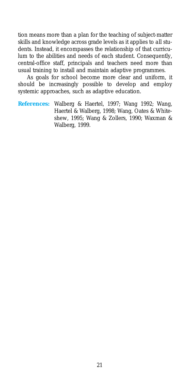tion means more than a plan for the teaching of subject-matter skills and knowledge across grade levels as it applies to *all* students. Instead, it encompasses the relationship of that curriculum to the abilities and needs of *each* student. Consequently, central-office staff, principals and teachers need more than usual training to install and maintain adaptive programmes.

As goals for school become more clear and uniform, it should be increasingly possible to develop and employ systemic approaches, such as adaptive education.

**References:** Walberg & Haertel, 1997; Wang 1992; Wang, Haertel & Walberg, 1998; Wang, Oates & Whiteshew, 1995; Wang & Zollers, 1990; Waxman & Walberg, 1999.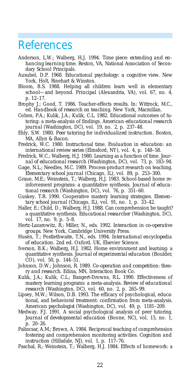### References

- Anderson, L.W.; Walberg, H.J. 1994. *Time piece: extending and enhancing learning time.* Reston, VA, National Association of Secondary School Principals.
- Ausubel, D.P. 1968. *Educational psychology: a cognitive view.* New York, Holt, Rinehart & Winston.
- Bloom, B.S. 1988. Helping all children learn well in elementary school—and beyond. *Principal* (Alexandria, VA), vol. 67, no. 4, p. 12–17.
- Brophy J.; Good, T. 1986. Teacher-effects results. *In:* Wittrock, M.C., ed. *Handbook of research on teaching*. New York, Macmillan.
- Cohen, P.A.; Kulik, J.A.; Kulik, C.L. 1982. Educational outcomes of tutoring: a meta-analysis of findings. *American educational research journal* (Washington, DC), vol. 19, no. 2, p. 237–48.
- Ehly, S.W. 1980. *Peer tutoring for individualized instruction*. Boston, MA, Allyn & Bacon.
- Fredrick, W.C. 1980. Instructional time. *Evaluation in education: an international review series* (Elmsford, NY), vol. 4, p. 148–58.
- Fredrick, W.C.; Walberg, H.J. 1980. Learning as a function of time. *Journal of educational research* (Washington, DC), vol. 73, p. 183–94.
- Gage, N.L.; Needles, M.C. 1989. Process-product research on teaching. *Elementary school journal* (Chicago, IL), vol. 89, p. 253–300.
- Graue, M.E.; Weinstein, T.; Walberg, H.J. 1983. School-based home reinforcement programs: a quantitative synthesis. *Journal of educational research* (Washington, DC), vol. 76, p. 351–60.
- Guskey, T.R. 1990. Cooperative mastery learning strategies. *Elementary school journal* (Chicago, IL), vol. 91, no. 1, p. 33–42.
- Haller, E.; Child, D.; Walberg, H.J. 1988. Can comprehension be taught? a quantitative synthesis. *Educational researcher* (Washington, DC), vol. 17, no. 9, p. 5–8.
- Hertz-Lazarowitz, R.; Miller, N., eds. 1992. *Interaction in co-operative groups.* New York, Cambridge University Press.
- Husén, T.; Postlethwaite, T.N., eds. 1994. *International encyclopedia of education*. 2nd ed. Oxford, UK, Elsevier Science.
- Iverson, B.K.; Walberg, H.J. 1982. Home environment and learning: a quantitative synthesis. *Journal of experimental education* (Boulder, CO), vol. 50, p. 144–51.
- Johnson, D.W.; Johnson, R. 1989. *Co-operation and competition: theory and research*. Edina, MN, Interaction Book Co.
- Kulik, J.A.; Kulik, C.L.; Bangert-Drowns, R.L. 1990. Effectiveness of mastery learning programs: a meta-analysis. *Review of educational research* (Washington, DC), vol. 60, no. 2, p. 265–99.
- Lipsey, M.W.; Wilson, D.B. 1993. The efficacy of psychological, educational, and behavioral treatment: confirmation from meta-analysis. *American psychologist* (Washington, DC), vol. 49, p. 1181–209.
- Medway, F.J. 1991. A social psychological analysis of peer tutoring. *Journal of developmental education* (Boone, NC), vol. 15, no. 1, p. 20–26.
- Palincsar, A.M.; Brown, A. 1984. Reciprocal teaching of comprehension fostering and comprehension monitoring activities. *Cognition and instruction* (Hillsdale, NJ), vol. 1, p. 117–76.
- Paschal, R.; Weinstein, T.; Walberg, H.J. 1984. Effects of homework: a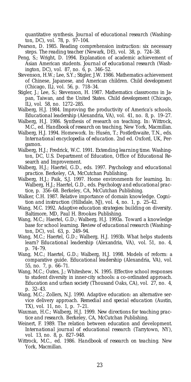quantitative synthesis. *Journal of educational research* (Washington, DC), vol. 78, p. 97–104.

- Pearson, D. 1985. Reading comprehension instruction: six necessary steps. *The reading teacher* (Newark, DE), vol. 38, p. 724–38.
- Peng, S.; Wright, D. 1994. Explanation of academic achievement of Asian American students. *Journal of educational research* (Washington, DC), vol. 87, no. 6, p. 346–52.
- Stevenson, H.W.; Lee, S.Y.; Stigler, J.W. 1986. Mathematics achievement of Chinese, Japanese, and American children. *Child development* (Chicago, IL), vol. 56, p. 718–34.
- Stigler, J.; Lee, S.; Stevenson, H. 1987. Mathematics classrooms in Japan, Taiwan, and the United States. *Child development* (Chicago, IL), vol. 58, no. 1272–285.
- Walberg, H.J. 1984. Improving the productivity of America's schools. *Educational leadership* (Alexandria, VA), vol. 41, no. 8, p. 19–27.
- Walberg, H.J. 1986. Synthesis of research on teaching. *In:* Wittrock, M.C., ed. *Handbook of research on teaching,* New York, Macmillan.
- Walberg, H.J. 1994. Homework. In: Husén, T.; Postlethwaite, T.N., eds. *International encyclopedia of education*. 2nd ed. Oxford, UK, Pergamon.
- Walberg, H.J.; Fredrick, W.C. 1991. *Extending learning time*. Washington, DC, U.S. Department of Education, Office of Educational Research and Improvement.
- Walberg, H.J.; Haertel, G.D., eds. 1997. *Psychology and educational practice.* Berkeley, CA, McCutchan Publishing.
- Walberg, H.J.; Paik, S.J. 1997. Home environments for learning. *In:* Walberg, H.J.; Haertel, G.D., eds. *Psychology and educational practice,* p. 356–68. Berkeley, CA, McCutchan Publishing.
- Walker, C.H. 1987. Relative importance of domain knowledge. *Cognition and instruction* (Hillsdale, NJ), vol. 4, no. 1, p. 25–42.
- Wang, M.C. 1992. *Adaptive education strategies: building on diversity*. Baltimore, MD, Paul H. Brookes Publishing.
- Wang, M.C.; Haertel, G.D.; Walberg, H.J. 1993*a*. Toward a knowledge base for school learning. *Review of educational research* (Washington, DC), vol. 63, p. 249–94.
- Wang, M.C.; Haertel, G.D.; Walberg, H.J. 1993*b*. What helps students learn? *Educational leadership* (Alexandria, VA), vol. 51, no. 4, p. 74–79.
- Wang, M.C.; Haertel, G.D.; Walberg, H.J. 1998. Models of reform: a comparative guide. *Educational leadership* (Alexandria, VA), vol. 55, no. 7, p. 66–71.
- Wang, M.C.; Oates, J.; Whiteshew, N. 1995. Effective school responses to student diversity in inner-city schools: a co-ordinated approach. *Education and urban society* (Thousand Oaks, CA), vol. 27, no. 4, p. 32–43.
- Wang, M.C.; Zollers, N.J. 1990. Adaptive education: an alternative service delivery approach. *Remedial and special education* (Austin, TX), vol. 11, no. 1, p. 7–21.
- Waxman, H.C.; Walberg, H.J. 1999. *New directions for teaching practice and research*. Berkeley, CA, McCutchan Publishing.
- Weinert, F. 1989. The relation between education and development. *International journal of educational research* (Tarrytown, NY), vol. 13, no. 8, p. 827–948.
- Wittrock, M.C., ed. 1986. *Handbook of research on teaching*. New York, Macmillan.